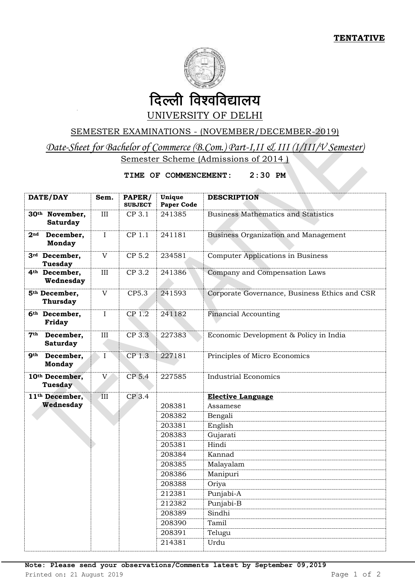

## UNIVERSITY OF DELHI

## SEMESTER EXAMINATIONS - (NOVEMBER/DECEMBER-2019)

*Date-Sheet for Bachelor of Commerce (B.Com.) Part-I,II & III (I/III/V Semester)*  Semester Scheme (Admissions of 2014)

## **TIME OF COMMENCEMENT: 2:30 PM**

| DATE/DAY                                        | Sem.                    | PAPER/<br><b>SUBJECT</b> | Unique<br><b>Paper Code</b> | <b>DESCRIPTION</b>                            |
|-------------------------------------------------|-------------------------|--------------------------|-----------------------------|-----------------------------------------------|
| 30 <sup>th</sup> November,<br><b>Saturday</b>   | III                     | CP 3.1                   | 241385                      | <b>Business Mathematics and Statistics</b>    |
| 2 <sup>nd</sup><br>December,<br><b>Monday</b>   | $\mathbf I$             | CP 1.1                   | 241181                      | <b>Business Organization and Management</b>   |
| 3rd December,<br><b>Tuesday</b>                 | V                       | CP 5.2                   | 234581                      | <b>Computer Applications in Business</b>      |
| 4 <sup>th</sup> December,<br>Wednesday          | III                     | CP 3.2                   | 241386                      | Company and Compensation Laws                 |
| 5 <sup>th</sup> December,<br><b>Thursday</b>    | V                       | CP5.3                    | 241593                      | Corporate Governance, Business Ethics and CSR |
| 6 <sup>th</sup> December,<br>Friday             | I                       | CP 1.2                   | 241182                      | <b>Financial Accounting</b>                   |
| 7 <sup>th</sup><br>December,<br><b>Saturday</b> | $\rm III$               | CP 3.3                   | 227383                      | Economic Development & Policy in India        |
| <b>gth</b><br>December,<br><b>Monday</b>        | $\mathbf I$             | CP <sub>1.3</sub>        | 227181                      | Principles of Micro Economics                 |
| 10th December,<br>Tuesday                       | V                       | CP 5.4                   | 227585                      | <b>Industrial Economics</b>                   |
| 11 <sup>th</sup> December,                      | $\overline{\text{III}}$ | CP 3.4                   |                             | <b>Elective Language</b>                      |
| Wednesday                                       |                         |                          | 208381                      | Assamese                                      |
|                                                 |                         |                          | 208382                      | Bengali                                       |
|                                                 |                         |                          | 203381                      | English                                       |
|                                                 |                         |                          | 208383                      | Gujarati                                      |
|                                                 |                         |                          | 205381                      | Hindi                                         |
|                                                 |                         |                          | 208384                      | Kannad                                        |
|                                                 |                         |                          | 208385                      | Malayalam                                     |
|                                                 |                         |                          | 208386                      | Manipuri                                      |
|                                                 |                         |                          | 208388                      | Oriya                                         |
|                                                 |                         |                          | 212381<br>212382            | Punjabi-A<br>Punjabi-B                        |
|                                                 |                         |                          | 208389                      | Sindhi                                        |
|                                                 |                         |                          | 208390                      | Tamil                                         |
|                                                 |                         |                          | 208391                      | Telugu                                        |
|                                                 |                         |                          | 214381                      | Urdu                                          |
|                                                 |                         |                          |                             |                                               |

**Note: Please send your observations/Comments latest by September 09,2019**

Printed on: 21 August 2019 **Page 1 of 2** Page 1 of 2